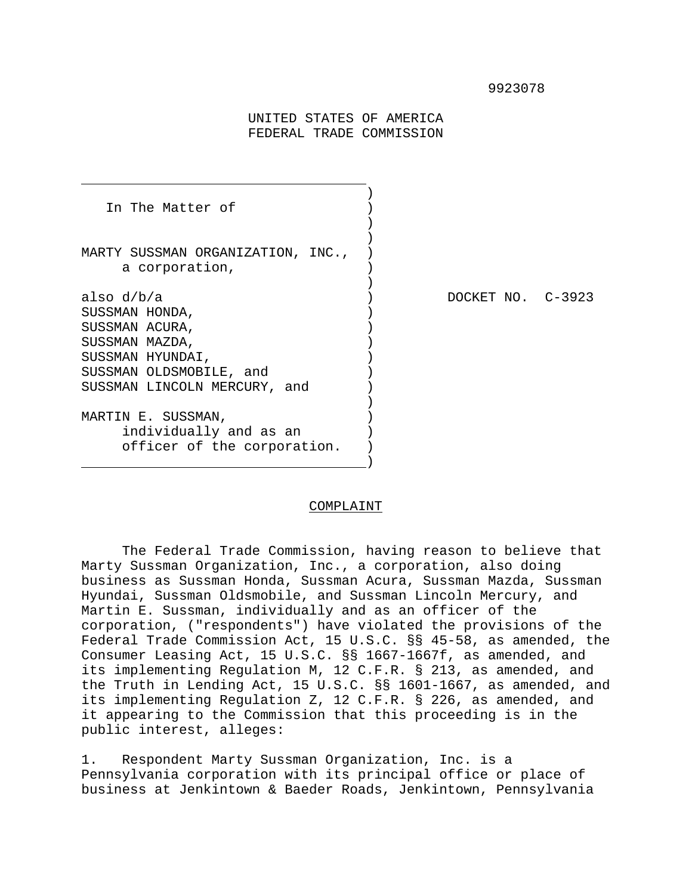#### 9923078

UNITED STATES OF AMERICA FEDERAL TRADE COMMISSION

J.

) and the contract of  $\mathcal{L}$ In The Matter of (1) ) ) MARTY SUSSMAN ORGANIZATION, INC., ) a corporation, ) also d/b/a ) DOCKET NO. C-3923 SUSSMAN HONDA,  $)$ SUSSMAN ACURA, ) SUSSMAN MAZDA, ) SUSSMAN HYUNDAI, ) SUSSMAN OLDSMOBILE, and ) SUSSMAN LINCOLN MERCURY, and ) MARTIN E. SUSSMAN, individually and as an ) officer of the corporation. ) ) and the contract of the contract of  $\mathcal{O}(n)$  and  $\mathcal{O}(n)$ 

#### COMPLAINT

The Federal Trade Commission, having reason to believe that Marty Sussman Organization, Inc., a corporation, also doing business as Sussman Honda, Sussman Acura, Sussman Mazda, Sussman Hyundai, Sussman Oldsmobile, and Sussman Lincoln Mercury, and Martin E. Sussman, individually and as an officer of the corporation, ("respondents") have violated the provisions of the Federal Trade Commission Act, 15 U.S.C. §§ 45-58, as amended, the Consumer Leasing Act, 15 U.S.C. §§ 1667-1667f, as amended, and its implementing Regulation M, 12 C.F.R. § 213, as amended, and the Truth in Lending Act, 15 U.S.C. §§ 1601-1667, as amended, and its implementing Regulation Z, 12 C.F.R. § 226, as amended, and it appearing to the Commission that this proceeding is in the public interest, alleges:

1. Respondent Marty Sussman Organization, Inc. is a Pennsylvania corporation with its principal office or place of business at Jenkintown & Baeder Roads, Jenkintown, Pennsylvania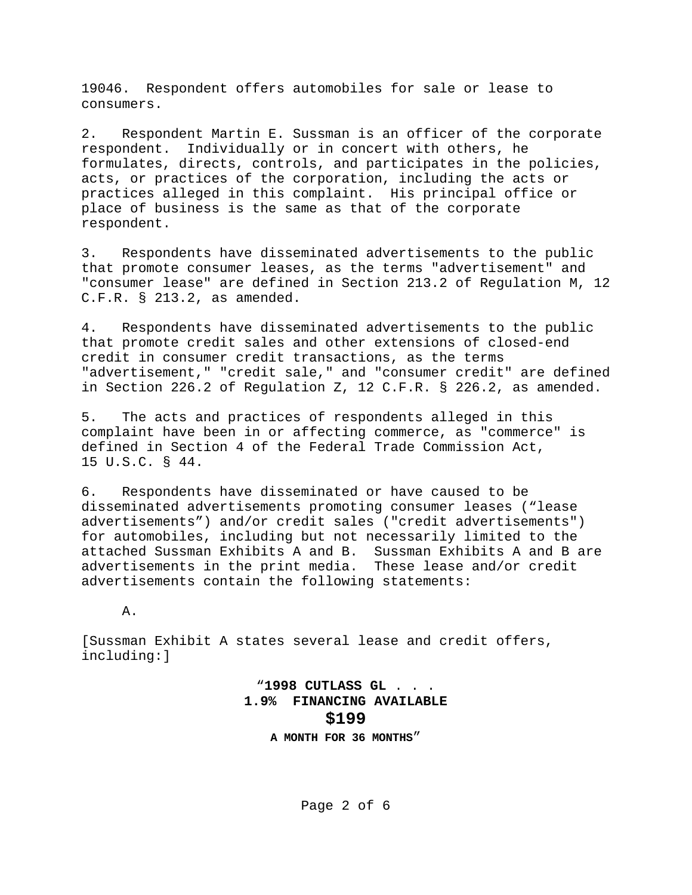19046. Respondent offers automobiles for sale or lease to consumers.

2. Respondent Martin E. Sussman is an officer of the corporate respondent. Individually or in concert with others, he formulates, directs, controls, and participates in the policies, acts, or practices of the corporation, including the acts or practices alleged in this complaint. His principal office or place of business is the same as that of the corporate respondent.

3. Respondents have disseminated advertisements to the public that promote consumer leases, as the terms "advertisement" and "consumer lease" are defined in Section 213.2 of Regulation M, 12 C.F.R. § 213.2, as amended.

4. Respondents have disseminated advertisements to the public that promote credit sales and other extensions of closed-end credit in consumer credit transactions, as the terms "advertisement," "credit sale," and "consumer credit" are defined in Section 226.2 of Regulation Z, 12 C.F.R. § 226.2, as amended.

5. The acts and practices of respondents alleged in this complaint have been in or affecting commerce, as "commerce" is defined in Section 4 of the Federal Trade Commission Act, 15 U.S.C. § 44.

6. Respondents have disseminated or have caused to be disseminated advertisements promoting consumer leases ("lease advertisements") and/or credit sales ("credit advertisements") for automobiles, including but not necessarily limited to the attached Sussman Exhibits A and B. Sussman Exhibits A and B are advertisements in the print media. These lease and/or credit advertisements contain the following statements:

A.

[Sussman Exhibit A states several lease and credit offers, including:]

> "**1998 CUTLASS GL** . . . **1.9% FINANCING AVAILABLE \$199 A MONTH FOR 36 MONTHS**"

> > Page 2 of 6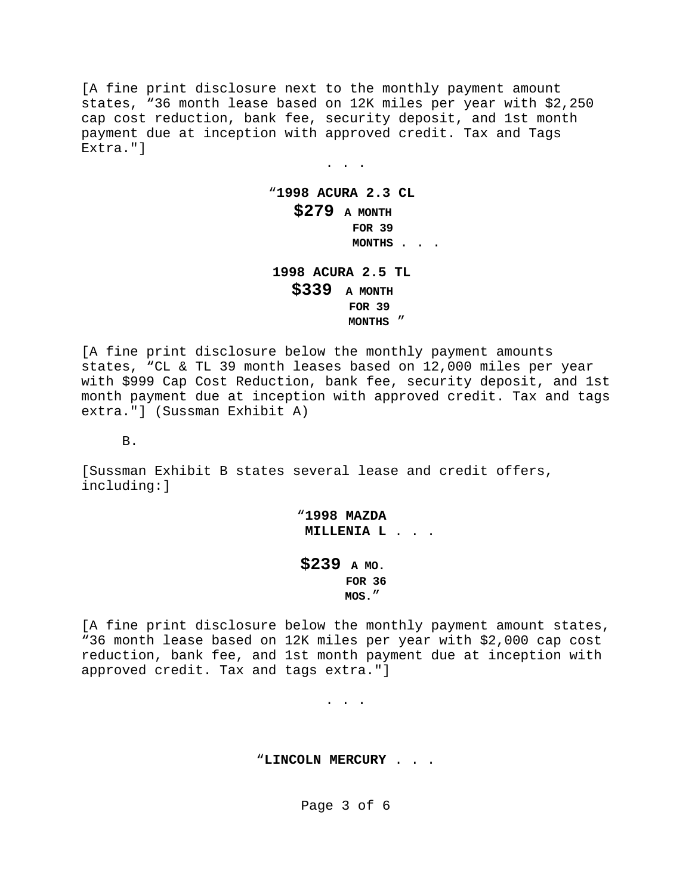[A fine print disclosure next to the monthly payment amount states, "36 month lease based on 12K miles per year with \$2,250 cap cost reduction, bank fee, security deposit, and 1st month payment due at inception with approved credit. Tax and Tags Extra."]

> "**1998 ACURA 2.3 CL \$279 A MONTH FOR 39 MONTHS** . . .

. . .

**1998 ACURA 2.5 TL \$339 A MONTH FOR 39 MONTHS** "

[A fine print disclosure below the monthly payment amounts states, "CL & TL 39 month leases based on 12,000 miles per year with \$999 Cap Cost Reduction, bank fee, security deposit, and 1st month payment due at inception with approved credit. Tax and tags extra."] (Sussman Exhibit A)

B.

[Sussman Exhibit B states several lease and credit offers, including:]

> "**1998 MAZDA MILLENIA L** . . .

**\$239 A MO. FOR 36 MOS.**"

[A fine print disclosure below the monthly payment amount states, "36 month lease based on 12K miles per year with \$2,000 cap cost reduction, bank fee, and 1st month payment due at inception with approved credit. Tax and tags extra."]

. . .

"**LINCOLN MERCURY** . . .

Page 3 of 6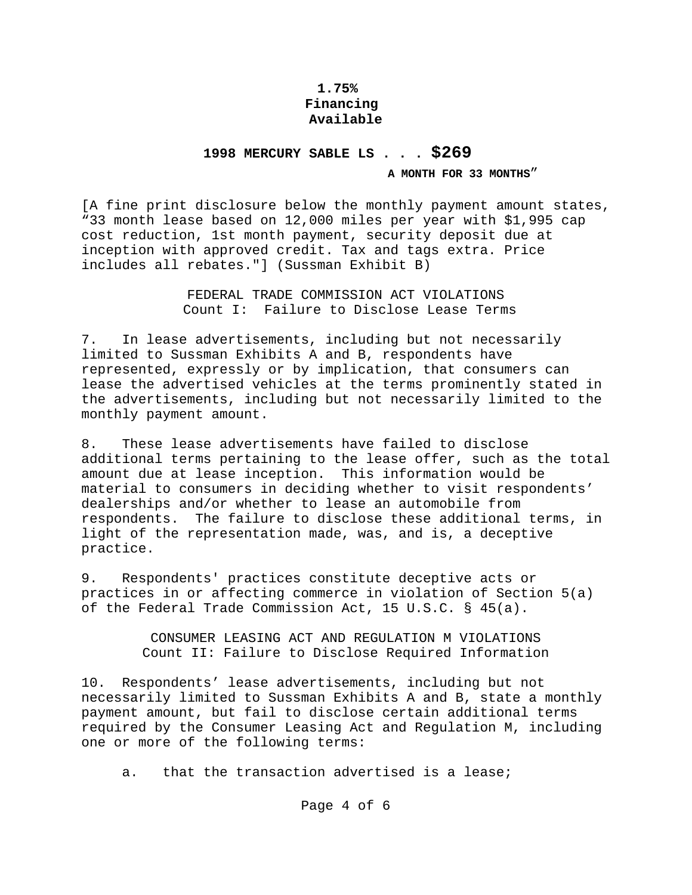## **1.75% Financing Available**

# **1998 MERCURY SABLE LS . . . \$269**

### **A MONTH FOR 33 MONTHS**"

[A fine print disclosure below the monthly payment amount states, "33 month lease based on 12,000 miles per year with \$1,995 cap cost reduction, 1st month payment, security deposit due at inception with approved credit. Tax and tags extra. Price includes all rebates."] (Sussman Exhibit B)

> FEDERAL TRADE COMMISSION ACT VIOLATIONS Count I: Failure to Disclose Lease Terms

7. In lease advertisements, including but not necessarily limited to Sussman Exhibits A and B, respondents have represented, expressly or by implication, that consumers can lease the advertised vehicles at the terms prominently stated in the advertisements, including but not necessarily limited to the monthly payment amount.

8. These lease advertisements have failed to disclose additional terms pertaining to the lease offer, such as the total amount due at lease inception. This information would be material to consumers in deciding whether to visit respondents' dealerships and/or whether to lease an automobile from respondents. The failure to disclose these additional terms, in light of the representation made, was, and is, a deceptive practice.

9. Respondents' practices constitute deceptive acts or practices in or affecting commerce in violation of Section 5(a) of the Federal Trade Commission Act, 15 U.S.C. § 45(a).

> CONSUMER LEASING ACT AND REGULATION M VIOLATIONS Count II: Failure to Disclose Required Information

10. Respondents' lease advertisements, including but not necessarily limited to Sussman Exhibits A and B, state a monthly payment amount, but fail to disclose certain additional terms required by the Consumer Leasing Act and Regulation M, including one or more of the following terms:

a. that the transaction advertised is a lease;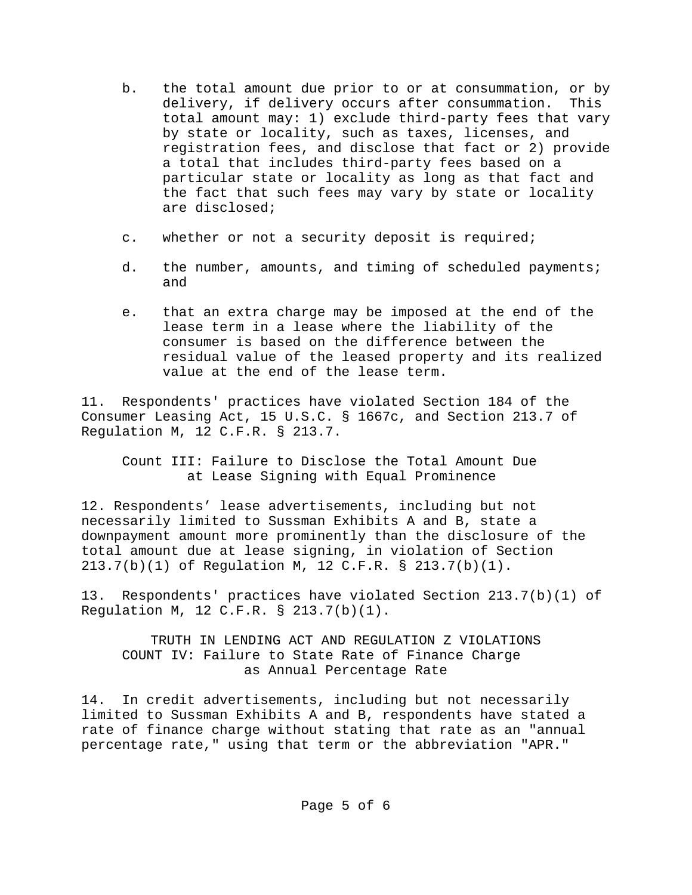- b. the total amount due prior to or at consummation, or by delivery, if delivery occurs after consummation. This total amount may: 1) exclude third-party fees that vary by state or locality, such as taxes, licenses, and registration fees, and disclose that fact or 2) provide a total that includes third-party fees based on a particular state or locality as long as that fact and the fact that such fees may vary by state or locality are disclosed;
- c. whether or not a security deposit is required;
- d. the number, amounts, and timing of scheduled payments; and
- e. that an extra charge may be imposed at the end of the lease term in a lease where the liability of the consumer is based on the difference between the residual value of the leased property and its realized value at the end of the lease term.

11. Respondents' practices have violated Section 184 of the Consumer Leasing Act, 15 U.S.C. § 1667c, and Section 213.7 of Regulation M, 12 C.F.R. § 213.7.

Count III: Failure to Disclose the Total Amount Due at Lease Signing with Equal Prominence

12. Respondents' lease advertisements, including but not necessarily limited to Sussman Exhibits A and B, state a downpayment amount more prominently than the disclosure of the total amount due at lease signing, in violation of Section 213.7(b)(1) of Regulation M, 12 C.F.R. § 213.7(b)(1).

13. Respondents' practices have violated Section 213.7(b)(1) of Regulation M, 12 C.F.R. § 213.7(b)(1).

TRUTH IN LENDING ACT AND REGULATION Z VIOLATIONS COUNT IV: Failure to State Rate of Finance Charge as Annual Percentage Rate

14. In credit advertisements, including but not necessarily limited to Sussman Exhibits A and B, respondents have stated a rate of finance charge without stating that rate as an "annual percentage rate," using that term or the abbreviation "APR."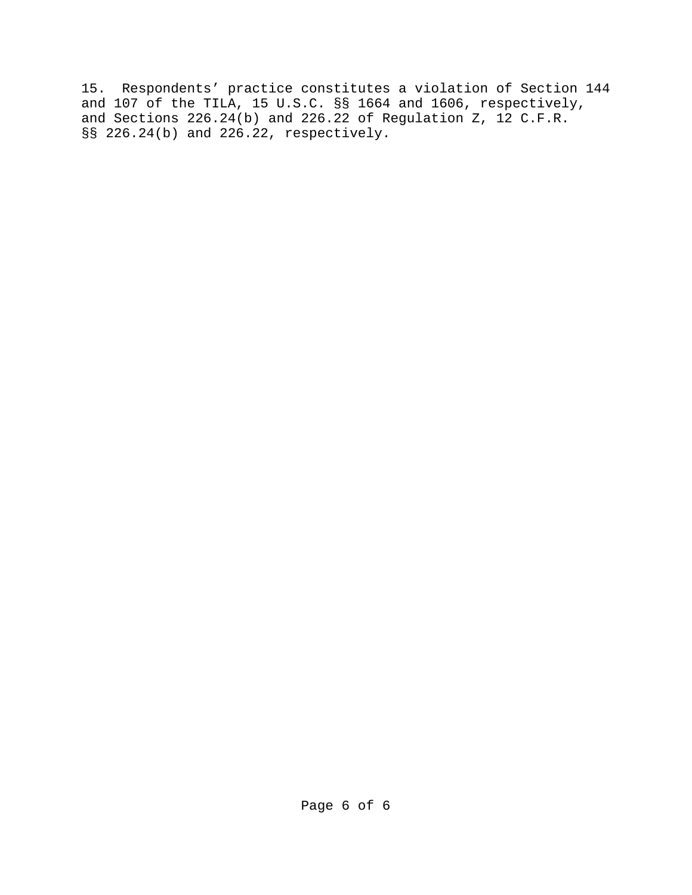15. Respondents' practice constitutes a violation of Section 144 and 107 of the TILA, 15 U.S.C. §§ 1664 and 1606, respectively, and Sections 226.24(b) and 226.22 of Regulation Z, 12 C.F.R. §§ 226.24(b) and 226.22, respectively.